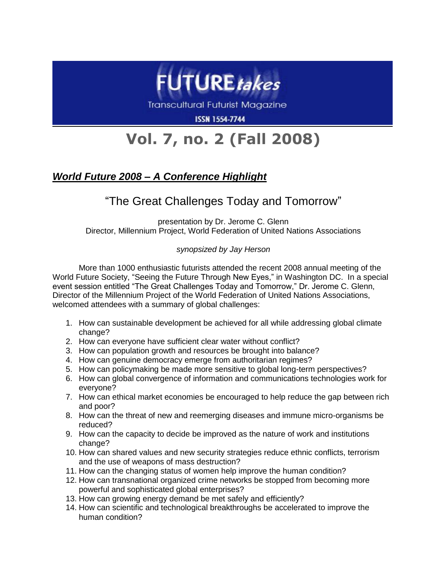

Transcultural Futurist Magazine

**ISSN 1554-7744** 

## **Vol. 7, no. 2 (Fall 2008)**

## *World Future 2008 – A Conference Highlight*

## "The Great Challenges Today and Tomorrow"

presentation by Dr. Jerome C. Glenn Director, Millennium Project, World Federation of United Nations Associations

## *synopsized by Jay Herson*

More than 1000 enthusiastic futurists attended the recent 2008 annual meeting of the World Future Society, "Seeing the Future Through New Eyes," in Washington DC. In a special event session entitled "The Great Challenges Today and Tomorrow," Dr. Jerome C. Glenn, Director of the Millennium Project of the World Federation of United Nations Associations, welcomed attendees with a summary of global challenges:

- 1. How can sustainable development be achieved for all while addressing global climate change?
- 2. How can everyone have sufficient clear water without conflict?
- 3. How can population growth and resources be brought into balance?
- 4. How can genuine democracy emerge from authoritarian regimes?
- 5. How can policymaking be made more sensitive to global long-term perspectives?
- 6. How can global convergence of information and communications technologies work for everyone?
- 7. How can ethical market economies be encouraged to help reduce the gap between rich and poor?
- 8. How can the threat of new and reemerging diseases and immune micro-organisms be reduced?
- 9. How can the capacity to decide be improved as the nature of work and institutions change?
- 10. How can shared values and new security strategies reduce ethnic conflicts, terrorism and the use of weapons of mass destruction?
- 11. How can the changing status of women help improve the human condition?
- 12. How can transnational organized crime networks be stopped from becoming more powerful and sophisticated global enterprises?
- 13. How can growing energy demand be met safely and efficiently?
- 14. How can scientific and technological breakthroughs be accelerated to improve the human condition?